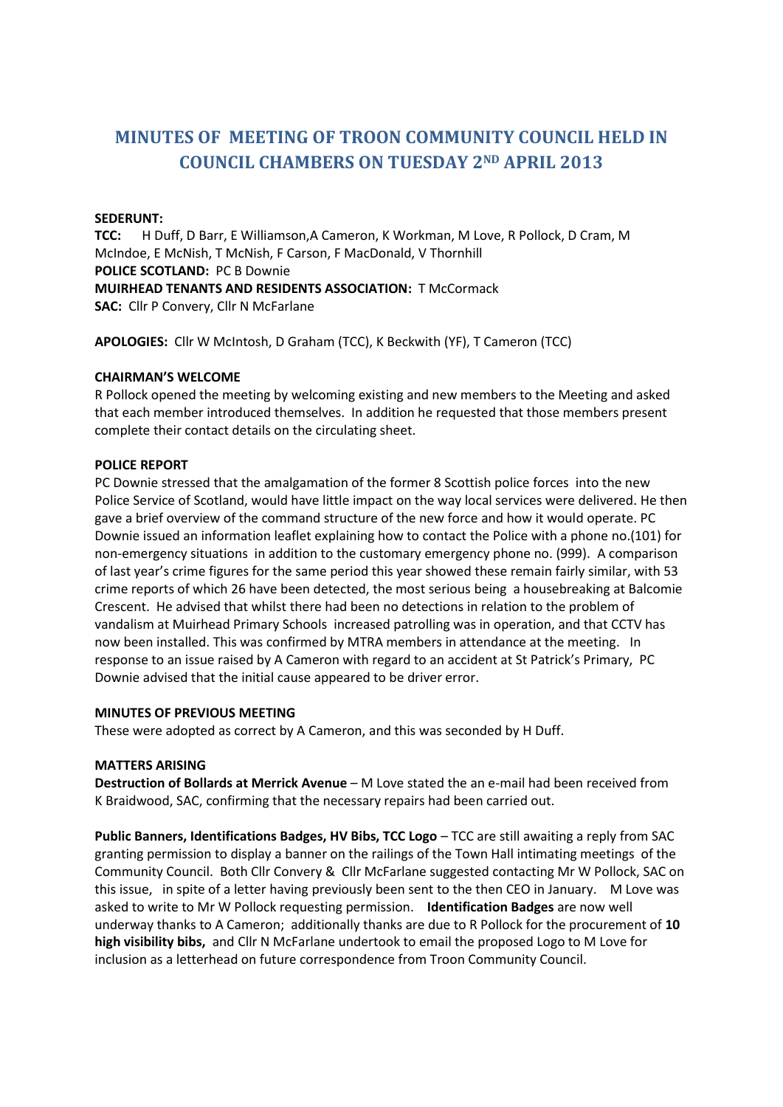# **MINUTES OF MEETING OF TROON COMMUNITY COUNCIL HELD IN COUNCIL CHAMBERS ON TUESDAY 2ND APRIL 2013**

## **SEDERUNT:**

**TCC:** H Duff, D Barr, E Williamson,A Cameron, K Workman, M Love, R Pollock, D Cram, M McIndoe, E McNish, T McNish, F Carson, F MacDonald, V Thornhill **POLICE SCOTLAND:** PC B Downie **MUIRHEAD TENANTS AND RESIDENTS ASSOCIATION:** T McCormack **SAC:** Cllr P Convery, Cllr N McFarlane

**APOLOGIES:** Cllr W McIntosh, D Graham (TCC), K Beckwith (YF), T Cameron (TCC)

#### **CHAIRMAN'S WELCOME**

R Pollock opened the meeting by welcoming existing and new members to the Meeting and asked that each member introduced themselves. In addition he requested that those members present complete their contact details on the circulating sheet.

#### **POLICE REPORT**

PC Downie stressed that the amalgamation of the former 8 Scottish police forces into the new Police Service of Scotland, would have little impact on the way local services were delivered. He then gave a brief overview of the command structure of the new force and how it would operate. PC Downie issued an information leaflet explaining how to contact the Police with a phone no.(101) for non-emergency situations in addition to the customary emergency phone no. (999). A comparison of last year's crime figures for the same period this year showed these remain fairly similar, with 53 crime reports of which 26 have been detected, the most serious being a housebreaking at Balcomie Crescent. He advised that whilst there had been no detections in relation to the problem of vandalism at Muirhead Primary Schools increased patrolling was in operation, and that CCTV has now been installed. This was confirmed by MTRA members in attendance at the meeting. In response to an issue raised by A Cameron with regard to an accident at St Patrick's Primary, PC Downie advised that the initial cause appeared to be driver error.

#### **MINUTES OF PREVIOUS MEETING**

These were adopted as correct by A Cameron, and this was seconded by H Duff.

#### **MATTERS ARISING**

**Destruction of Bollards at Merrick Avenue** – M Love stated the an e-mail had been received from K Braidwood, SAC, confirming that the necessary repairs had been carried out.

**Public Banners, Identifications Badges, HV Bibs, TCC Logo** – TCC are still awaiting a reply from SAC granting permission to display a banner on the railings of the Town Hall intimating meetings of the Community Council. Both Cllr Convery & Cllr McFarlane suggested contacting Mr W Pollock, SAC on this issue, in spite of a letter having previously been sent to the then CEO in January. M Love was asked to write to Mr W Pollock requesting permission. **Identification Badges** are now well underway thanks to A Cameron; additionally thanks are due to R Pollock for the procurement of **10 high visibility bibs,** and Cllr N McFarlane undertook to email the proposed Logo to M Love for inclusion as a letterhead on future correspondence from Troon Community Council.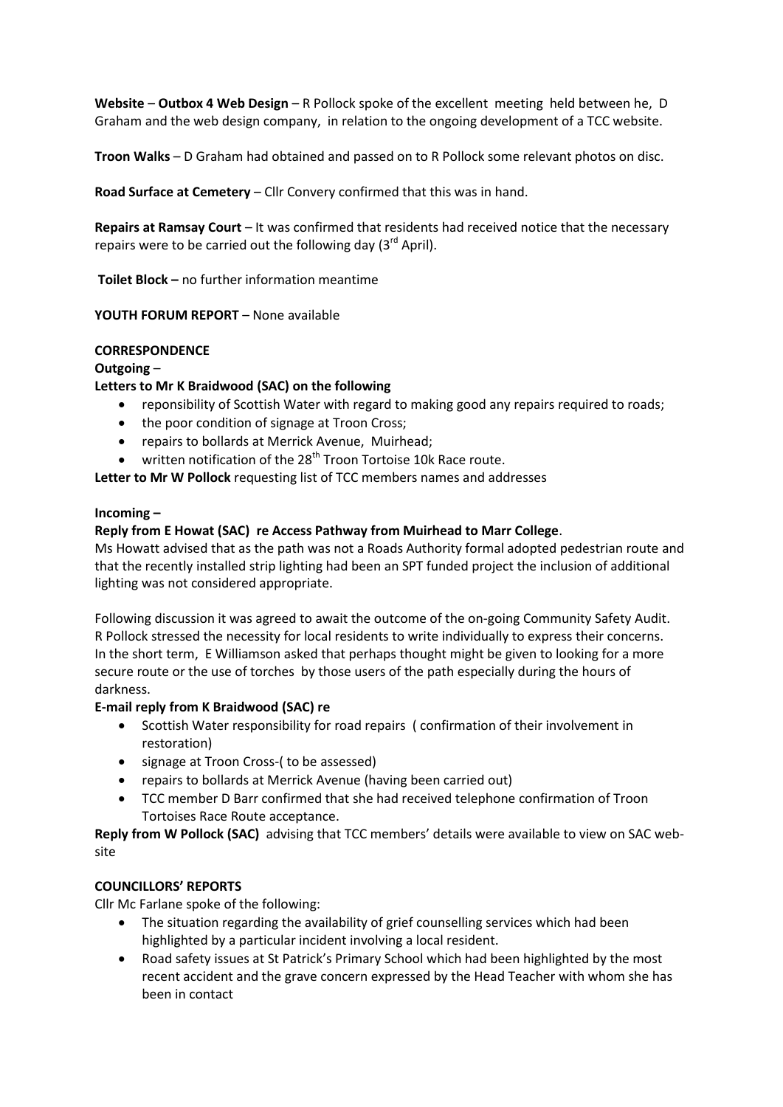**Website** – **Outbox 4 Web Design** – R Pollock spoke of the excellent meeting held between he, D Graham and the web design company, in relation to the ongoing development of a TCC website.

**Troon Walks** – D Graham had obtained and passed on to R Pollock some relevant photos on disc.

**Road Surface at Cemetery** – Cllr Convery confirmed that this was in hand.

**Repairs at Ramsay Court** – It was confirmed that residents had received notice that the necessary repairs were to be carried out the following day  $(3^{rd}$  April).

**Toilet Block –** no further information meantime

**YOUTH FORUM REPORT** – None available

## **CORRESPONDENCE**

## **Outgoing** –

## **Letters to Mr K Braidwood (SAC) on the following**

- reponsibility of Scottish Water with regard to making good any repairs required to roads;
- the poor condition of signage at Troon Cross;
- repairs to bollards at Merrick Avenue, Muirhead;
- $\bullet$  written notification of the 28<sup>th</sup> Troon Tortoise 10k Race route.

**Letter to Mr W Pollock** requesting list of TCC members names and addresses

#### **Incoming –**

## **Reply from E Howat (SAC) re Access Pathway from Muirhead to Marr College**.

Ms Howatt advised that as the path was not a Roads Authority formal adopted pedestrian route and that the recently installed strip lighting had been an SPT funded project the inclusion of additional lighting was not considered appropriate.

Following discussion it was agreed to await the outcome of the on-going Community Safety Audit. R Pollock stressed the necessity for local residents to write individually to express their concerns. In the short term, E Williamson asked that perhaps thought might be given to looking for a more secure route or the use of torches by those users of the path especially during the hours of darkness.

## **E-mail reply from K Braidwood (SAC) re**

- Scottish Water responsibility for road repairs ( confirmation of their involvement in restoration)
- signage at Troon Cross-( to be assessed)
- repairs to bollards at Merrick Avenue (having been carried out)
- TCC member D Barr confirmed that she had received telephone confirmation of Troon Tortoises Race Route acceptance.

**Reply from W Pollock (SAC)** advising that TCC members' details were available to view on SAC website

## **COUNCILLORS' REPORTS**

Cllr Mc Farlane spoke of the following:

- The situation regarding the availability of grief counselling services which had been highlighted by a particular incident involving a local resident.
- Road safety issues at St Patrick's Primary School which had been highlighted by the most recent accident and the grave concern expressed by the Head Teacher with whom she has been in contact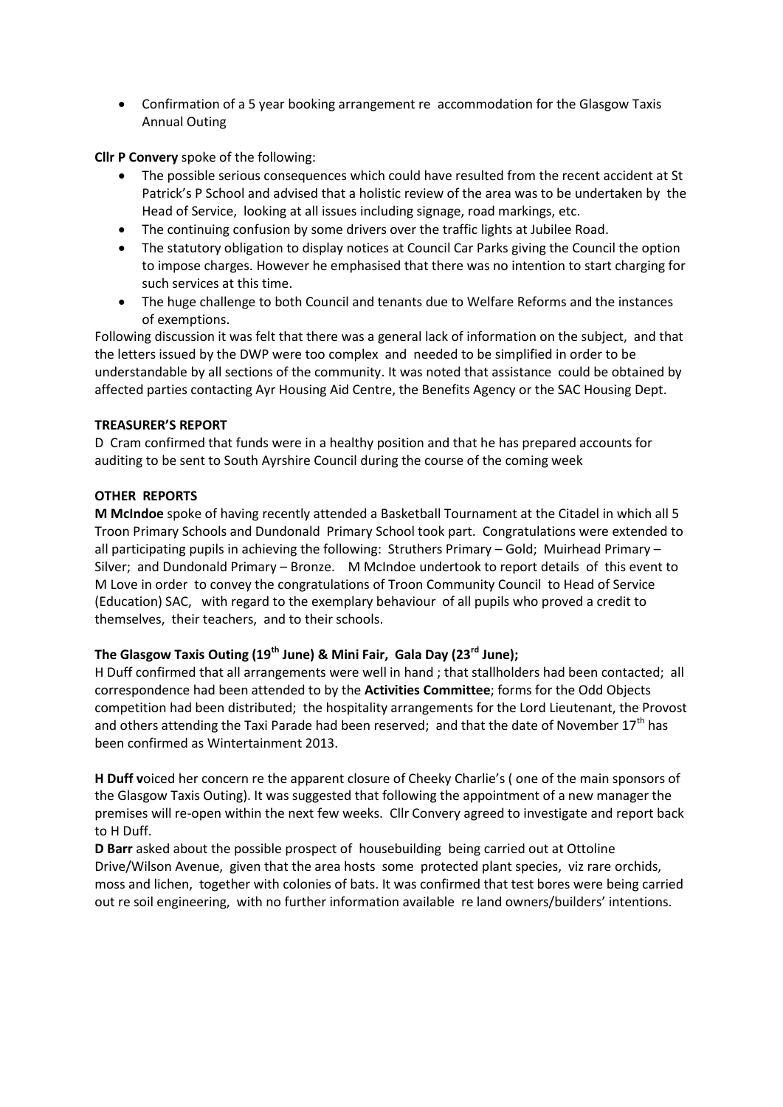Confirmation of a 5 year booking arrangement re accommodation for the Glasgow Taxis Annual Outing

**Cllr P Convery** spoke of the following:

- The possible serious consequences which could have resulted from the recent accident at St Patrick's P School and advised that a holistic review of the area was to be undertaken by the Head of Service, looking at all issues including signage, road markings, etc.
- The continuing confusion by some drivers over the traffic lights at Jubilee Road.
- The statutory obligation to display notices at Council Car Parks giving the Council the option to impose charges. However he emphasised that there was no intention to start charging for such services at this time.
- The huge challenge to both Council and tenants due to Welfare Reforms and the instances of exemptions.

Following discussion it was felt that there was a general lack of information on the subject, and that the letters issued by the DWP were too complex and needed to be simplified in order to be understandable by all sections of the community. It was noted that assistance could be obtained by affected parties contacting Ayr Housing Aid Centre, the Benefits Agency or the SAC Housing Dept.

## **TREASURER'S REPORT**

D Cram confirmed that funds were in a healthy position and that he has prepared accounts for auditing to be sent to South Ayrshire Council during the course of the coming week

## **OTHER REPORTS**

**M McIndoe** spoke of having recently attended a Basketball Tournament at the Citadel in which all 5 Troon Primary Schools and Dundonald Primary School took part. Congratulations were extended to all participating pupils in achieving the following: Struthers Primary – Gold; Muirhead Primary – Silver; and Dundonald Primary – Bronze. M McIndoe undertook to report details of this event to M Love in order to convey the congratulations of Troon Community Council to Head of Service (Education) SAC, with regard to the exemplary behaviour of all pupils who proved a credit to themselves, their teachers, and to their schools.

## **The Glasgow Taxis Outing (19th June) & Mini Fair, Gala Day (23rd June);**

H Duff confirmed that all arrangements were well in hand ; that stallholders had been contacted; all correspondence had been attended to by the **Activities Committee**; forms for the Odd Objects competition had been distributed; the hospitality arrangements for the Lord Lieutenant, the Provost and others attending the Taxi Parade had been reserved; and that the date of November  $17<sup>th</sup>$  has been confirmed as Wintertainment 2013.

**H Duff v**oiced her concern re the apparent closure of Cheeky Charlie's ( one of the main sponsors of the Glasgow Taxis Outing). It was suggested that following the appointment of a new manager the premises will re-open within the next few weeks. Cllr Convery agreed to investigate and report back to H Duff.

**D Barr** asked about the possible prospect of housebuilding being carried out at Ottoline Drive/Wilson Avenue, given that the area hosts some protected plant species, viz rare orchids, moss and lichen, together with colonies of bats. It was confirmed that test bores were being carried out re soil engineering, with no further information available re land owners/builders' intentions.